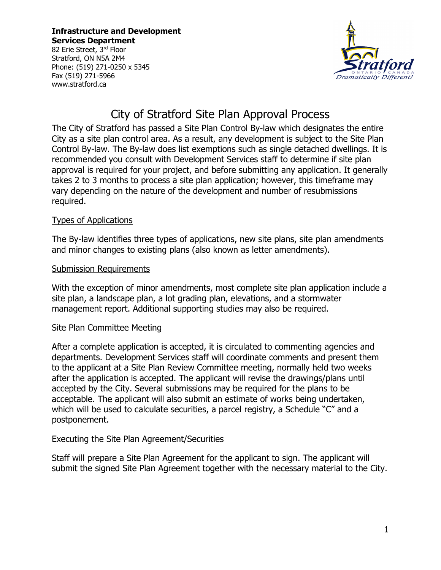**Infrastructure and Development Services Department**

82 Erie Street, 3rd Floor Stratford, ON N5A 2M4 Phone: (519) 271-0250 x 5345 Fax (519) 271-5966 www.stratford.ca



# City of Stratford Site Plan Approval Process

The City of Stratford has passed a Site Plan Control By-law which designates the entire City as a site plan control area. As a result, any development is subject to the Site Plan Control By-law. The By-law does list exemptions such as single detached dwellings. It is recommended you consult with Development Services staff to determine if site plan approval is required for your project, and before submitting any application. It generally takes 2 to 3 months to process a site plan application; however, this timeframe may vary depending on the nature of the development and number of resubmissions required.

### Types of Applications

The By-law identifies three types of applications, new site plans, site plan amendments and minor changes to existing plans (also known as letter amendments).

### Submission Requirements

With the exception of minor amendments, most complete site plan application include a site plan, a landscape plan, a lot grading plan, elevations, and a stormwater management report. Additional supporting studies may also be required.

## Site Plan Committee Meeting

After a complete application is accepted, it is circulated to commenting agencies and departments. Development Services staff will coordinate comments and present them to the applicant at a Site Plan Review Committee meeting, normally held two weeks after the application is accepted. The applicant will revise the drawings/plans until accepted by the City. Several submissions may be required for the plans to be acceptable. The applicant will also submit an estimate of works being undertaken, which will be used to calculate securities, a parcel registry, a Schedule "C" and a postponement.

#### Executing the Site Plan Agreement/Securities

Staff will prepare a Site Plan Agreement for the applicant to sign. The applicant will submit the signed Site Plan Agreement together with the necessary material to the City.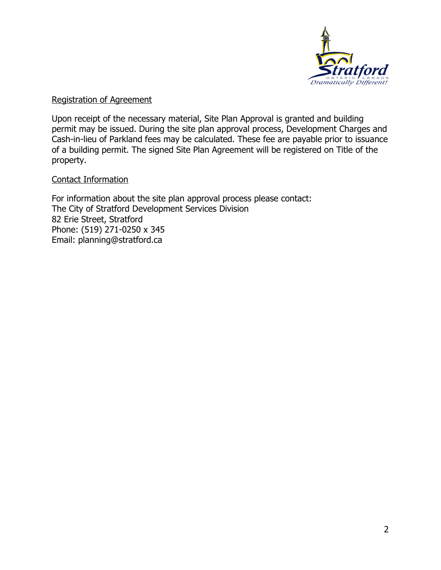

#### Registration of Agreement

Upon receipt of the necessary material, Site Plan Approval is granted and building permit may be issued. During the site plan approval process, Development Charges and Cash-in-lieu of Parkland fees may be calculated. These fee are payable prior to issuance of a building permit. The signed Site Plan Agreement will be registered on Title of the property.

### Contact Information

For information about the site plan approval process please contact: The City of Stratford Development Services Division 82 Erie Street, Stratford Phone: (519) 271-0250 x 345 Email: planning@stratford.ca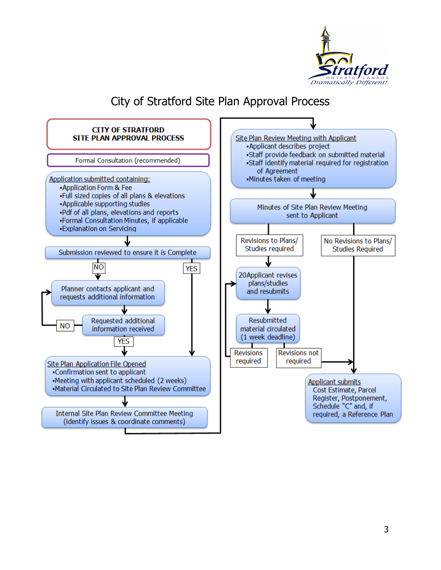

# City of Stratford Site Plan Approval Process